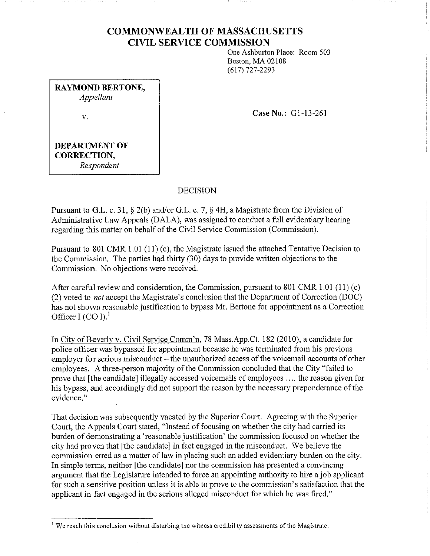# **COMMONWEALTH OF MASSACHUSETTS CIVIL SERVICE COMMISSION**

One Ashburton Place: Room 503 Boston, MA 02108 (617) 727-2293

**RAYMOND BERTONE,**  *Appellant*  V.

**Case No.:** Gl-13-261

# **DEPARTMENT OF CORRECTION,**  *Respondent*

## DECISION

Pursuant to G.L. c. 31, § 2(b) and/or G.L. c. 7, § 4H, a Magistrate from the Division of Administrative Law Appeals (DALA), was assigned to conduct a full evidentiary hearing regarding this matter on behalf of the Civil Service Commission (Commission).

Pursuant to 801 CMR 1.01 (11) (c), the Magistrate issued the attached Tentative Decision to the Commission. The parties had thirty (30) days to provide written objections to the Commission. No objections were received.

After careful review and consideration, the Commission, pursuant to 801 CMR 1.01 (11) (c) (2) voted to *not* accept the Magistrate's conclusion that the Department of Correction (DOC) has not shown reasonable justification to bypass Mr. Bertone for appointment as a Correction Officer I (CO I). $<sup>1</sup>$ </sup>

In City of Beverly v. Civil Service Comm'n, 78 Mass.App.Ct. 182 (2010), a candidate for police officer was bypassed for appointment because he was terminated from his previous employer for serious misconduct – the unauthorized access of the voicemail accounts of other employees. A three-person majority of the Commission concluded that the City "failed to prove that [the candidate] illegally accessed voicemails of employees .... the reason given for his bypass, and accordingly did not support the reason by the necessary preponderance of the evidence."

That decision was subsequently vacated by the Superior Court. Agreeing with the Superior Court, the Appeals Court stated, "Instead of focusing on whether the city had carried its burden of demonstrating a 'reasonable justification' the commission focused on whether the city had proven that [the candidate] in fact engaged in the misconduct. We believe the commission erred as a matter of law in placing such an added evidentiary burden on the city. In simple terms, neither [the candidate] nor the commission has presented a convincing argument that the Legislature intended to force an appointing authority to hire a job applicant for such a sensitive position unless it is able to prove to the commission's satisfaction that the applicant in fact engaged in the serious alleged misconduct for which he was fired."

<sup>&</sup>lt;sup>1</sup> We reach this conclusion without disturbing the witness credibility assessments of the Magistrate.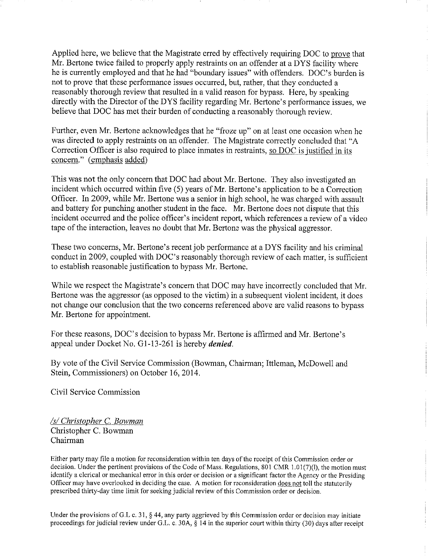Applied here, we believe that the Magistrate erred by effectively requiring DOC to prove that Mr. Bertone twice failed to properly apply restraints on an offender at a DYS facility where he is currently employed and that he had "boundary issues" with offenders. DOC's burden is not to prove that these performance issues occurred, but, rather, that they conducted a reasonably thorough review that resulted in a valid reason for bypass. Here, by speaking directly with the Director of the DYS facility regarding Mr. Bertone's performance issues, we believe that DOC has met their burden of conducting a reasonably thorough review.

Further, even Mr. Bertone acknowledges that he "froze up" on at least one occasion when he was directed to apply restraints on an offender. The Magistrate correctly concluded that "A Correction Officer is also required to place inmates in restraints, so DOC is justified in its concern." (emphasis added)

This was not the only concern that DOC had about Mr. Bertone. They also investigated an incident which occurred within five (5) years of Mr. Bertone's application to be a Correction Officer. In 2009, while Mr. Bertone was a senior in high school, he was charged with assault and battery for punching another student in the face. Mr. Bertone does not dispute that this incident occurred and the police officer's incident report, which references a review of a video tape of the interaction, leaves no doubt that Mr. Bertone was the physical aggressor.

These two concerns, Mr. Bertone's recent job performance at a DYS facility and his criminal conduct in 2009, coupled with DOC's reasonably thorough review of each matter, is sufficient to establish reasonable justification to bypass Mr. Bertone.

While we respect the Magistrate's concern that DOC may have incorrectly concluded that Mr. Bertone was the aggressor (as opposed to the victim) in a subsequent violent incident, it does not change our conclusion that the two concerns referenced above are valid reasons to bypass Mr. Bertone for appointment.

For these reasons, DOC's decision to bypass Mr. Bertone is affirmed and Mr. Bertone's appeal under Docket No. G1-13-261 is hereby *denied*.

By vote of the Civil Service Commission (Bowman, Chairman; Ittleman, McDowelJ and Stein, Commissioners) on October 16, 2014.

Civil Service Commission

*Isl Christopher* C. *Bowman*  Christopher C. Bowman Chairman

Either party may file a motion for reconsideration within ten days of the receipt of this Commission order or decision. Under the pertinent provisions of the Code of Mass. Regulations, 801 CMR 1.01(7)(1), the motion must identify a clerical or mechanical error in this order or decision or a significant factor the Agency or the Presiding Officer may have overlooked in deciding the case. A motion for reconsideration does not toll the statutorily prescribed thirty-day time limit for seeking judicial review of this Commission order or decision.

Under the provisions of G.L c. 31, § 44, any party aggrieved by this Commission order or decision may initiate proceedings for judicial review under G.L. c. 30A, § 14 in the superior court within thirty (30) days after receipt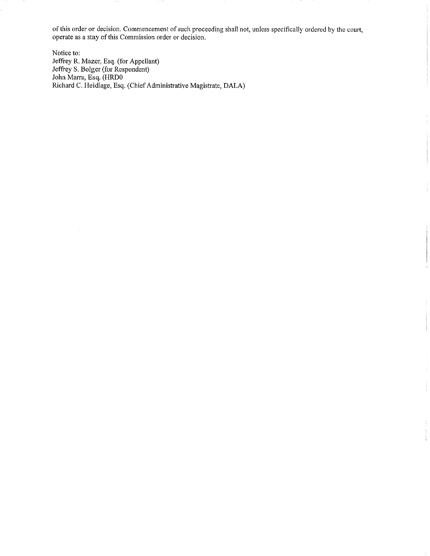of this order or decision. Commencement of such proceeding shall not, unless specifically ordered by the court, **operate** as a **stay of this Commission order or decision.** 

ł

Notice to: Jeffrey R. Mazer, Esq. (for Appellant) Jeffrey S. Bolger (for Respondent) John Marra, Esq, (HRDO Richard C. Heidlage, Esq. (Chief Administrative Magistrate, DALA)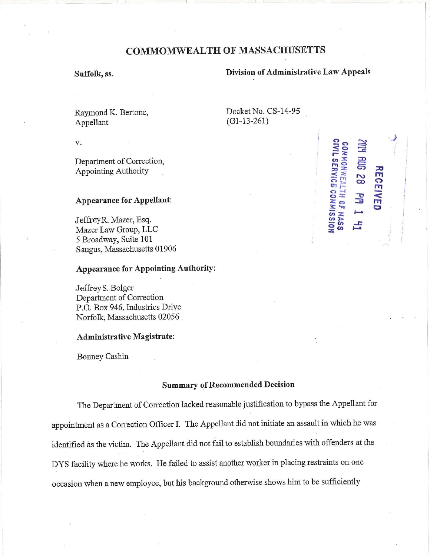# **COMMOMWEALTH OF MASSACHUSETTS**

# **Suffolk, ss. Division of Administrative Law Appeals**

**2 11412<br>POH R**<br>**B** HILL

"" **0 ::0 .:z C')**  e: **c: 3** 

**::0**   $\overline{\mathbf{r}}$  $\bullet$ ,,,  $\overline{\overline{m}}$ **C** 

;

 $58$   $\frac{\text{MS}}{\text{MS}}$ -*m r-*

**o -i 0 ::r -0 ~o :3** 

 $\frac{1}{2}$   $\frac{1}{2}$   $\frac{1}{2}$  $\frac{48}{2}$ **c,, ..r: Oen** ,.\_ **:z** 

Docket No. CS-14-95

(Gl-13-261)

Raymond K. Bertone, Appellant

V.

Department of Correction, Appointing Authority

### **Appearance for Appellant:**

JeffreyR. Mazer, Esq. Mazer Law Group, LLC 5 Broadway, Suite **101**  Saugus, Massachusetts 01906

# **Appearance for Appointing Authority:**

Jeffrey S. Bolger Department of Correction P.O. Box 946, Industries Drive Norfolk, Massachusetts 02056 .

#### **Administrative Magistrate:**

Bonney Cashin

## **Summary of Recommended Decision**

The Department of Correction lacked reasonable justification to bypass the Appellant for appointment as a Correction Officer I. The Appellant did not initiate an assault in which he was. identified as the victim. The Appellant did not fail to establish boundaries with offenders at the DYS facility where he works. He failed to assist another worker in placing restraints on one occasion when a new employee, but his background otherwise shows him to be sufficiently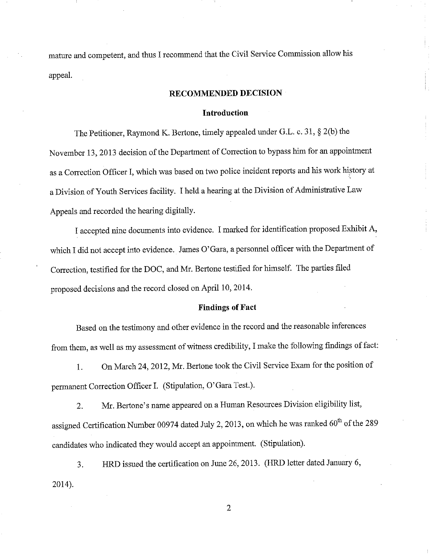mature and competent, and thus I recommend that the Civil Service Commission allow his appeal.

## **RECOMMENDED DECISION**

#### **Introduction**

The Petitioner, Raymond K. Bertone, timely appealed under G.L. c. 31, § 2(b) the November 13, 2013 decision of the Department of Correction to bypass him for an appointment as a Correction Officer I, which was based on two police incident reports and his work history at a Division of Youth Services facility. I held a hearing at the Division of Administrative Law Appeals and recorded the hearing digitally.

I accepted nine documents into evidence. I marked for identification proposed Exhibit A, which I did not accept into evidence. James O'Gara, a personnel officer with the Department of Correction, testified for the DOC, and Mr. Bertone testified for himself. The parties filed proposed decisions and the record closed on April 10, 2014.

#### **Findings of Fact**

Based on the testimony and other evidence in the record and the reasonable inferences from them, as well as my assessment of witness credibility, I make the following findings of fact:

1. On March 24, 2012, Mr. Bertone took the Civil Service Exam for the position of permanent Correction Officer I. (Stipulation, O'Gara Test.).

2. Mr. Bertone's name appeared on a Human Resources Division eligibility list, assigned Certification Number 00974 dated July 2, 2013, on which he was ranked  $60<sup>th</sup>$  of the 289 candidates who indicated they would accept an appointment. (Stipulation).

3. HRD issued the certification on June 26, 2013. (HRD letter dated January 6, 2014).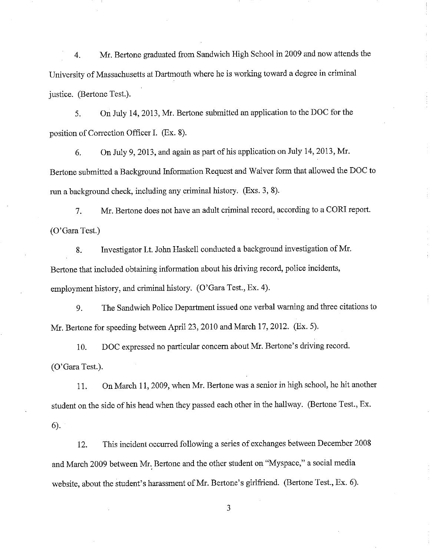4. Mr. Bertone graduated from Sandwich High School in 2009 and now attends the University of Massachusetts at Dartmouth where he is working toward a degree in criminal justice. (Bertone Test.).

5. On July 14, 2013, Mr. Bertone submitted an application to the DOC for the position of Correction Officer I. (Ex. 8).

6. On July 9, 2013, and again as part of his application on July 14, 2013, Mr. Bertone submitted a Background Information Request and Waiver form that allowed the DOC to run a background check, including any criminal history. (Exs. 3, 8).

7. Mr. Bertone does not have an adult criminal record, according to a CORI report. (O'Gara Test.)

8. Investigator Lt. John Haskell conducted a background investigation of Mr. Bertone that included obtaining information about his driving record, police incidents, employment history, and criminal history. (O'Gara Test., Ex. 4).

9. The Sandwich Police Department issued one verbal warning and three citations to Mr. Bertone for speeding between April 23, 2010 and March 17, 2012. (Ex. 5).

10. DOC expressed no particular concern about Mr. Bertone's driving record. (O'Gara Test.).

11. On March 11, 2009, when Mr. Bertone was a senior in high school, he hit another student on the side of his head when they passed each other in the hallway. (Bertone Test., Ex. 6).

12. This incident occurred following a series of exchanges between December 2008 and March 2009 between Mr. Bertone and the other student on "Myspace," a social media website, about the student's harassment of Mr. Bertone's girlfriend. (Bertone Test., Ex. 6).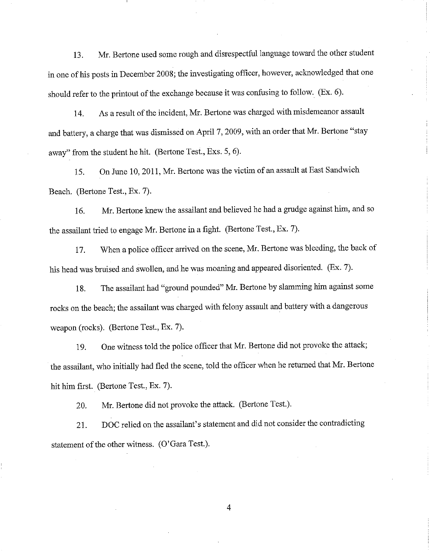13. Mr. Bertone used some rough and disrespectful language toward the other student in one of his posts in December 2008; the investigating officer, however, acknowledged that one should refer to the printout of the exchange because it was confusing to follow. (Ex. 6).

14. As a result of the incident, Mr. Bertone was charged with misdemeanor assault and battery, a charge that was dismissed on April 7, 2009, with an order that Mr. Bertone "stay away" from the student he hit. (Bertone Test., Exs. 5, 6).

15. On June 10, 2011, Mr. Bertone was the victim of an assault at East Sandwich Beach. (Bertone Test., Ex. 7).

16. Mr. Bertone knew the assailant and believed he had a grudge against him, and so the assailant tried to engage Mr. Bertone in a fight. (Bertone Test., Ex. 7).

17. When a police officer arrived on the scene, Mr. Bertone was bleeding, the back of his head was bruised and swollen, and he was moaning and appeared disoriented. (Ex. 7).

18. The assailant had "ground pounded" Mr. Bertone by slamming him against some rocks on the beach; the assailant was charged with felony assault and battery with a dangerous weapon (rocks). (Bertone Test., Ex. 7).

19. One witness told the police officer that Mr. Bertone did not provoke the attack; the assailant, who initially had fled the scene, told the officer when he returned that Mr. Bertone hit him first. (Bertone Test., Ex. 7).

20. Mr. Bertone did not provoke the attack. (Bertone Test.).

21. DOC relied on the assailant's statement and did not consider the contradicting statement of the other witness. (O'Gara Test.).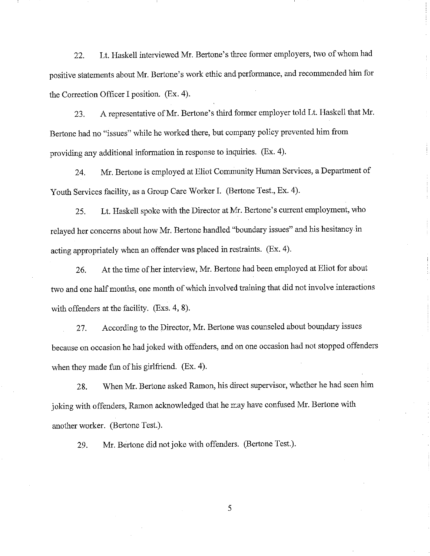22. Lt. Haskell interviewed Mr. Bertone's three former employers, two of whom had positive statements about Mr. Bertone's work ethic and performance, and recommended him for the Correction Officer I position. (Ex. 4).

23. A representative of Mr. Bertone's third former employer told Lt. Haskell that Mr. Bertone had no "issues" while he worked there, but company policy prevented him from providing any additional information in response to inquiries. (Ex. 4 ).

24. Mr. Bertone is employed at Eliot Community Human Services, a Department of Youth Services facility, as a Group Care Worker I. (Bertone Test., Ex. 4).

25. Lt. Haskell spoke with the Director at Mr. Bertone's current employment, who relayed her concerns about how Mr. Bertone handled "boundary issues" and his hesitancy in acting appropriately when an offender was placed in restraints. (Ex. 4).

26. At the time of her interview, Mr. Bertone had been employed at Eliot for about two and one half months, one month of which involved training that did not involve interactions with offenders at the facility. (Exs. 4, 8).

27. According to the Director, Mr. Bertone was counseled about boundary issues because on occasion he had joked with offenders, and on one occasion had not stopped offenders when they made fun of his girlfriend. (Ex. 4).

28. When Mr. Bertone asked Ramon, his direct supervisor, whether he had seen him joking with offenders, Ramon acknowledged that he may have confused Mr. Bertone with another worker. (Bertone Test.).

29. Mr. Bertone did not joke with offenders. (Bertone Test.).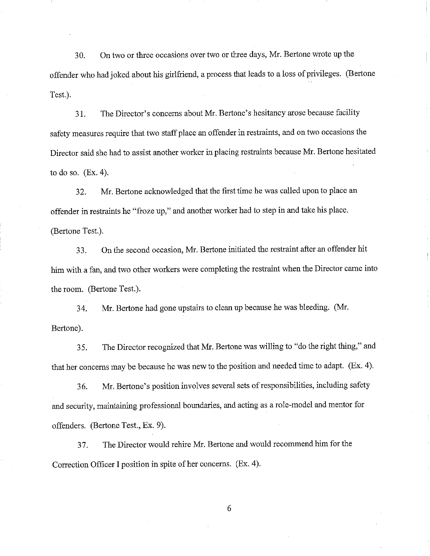30. On two or three occasions over two or three days, Mr. Bertone wrote up the offender who had joked about his girlfriend, a process that leads to a loss of privileges. (Bertone Test.).

31. The Director's concerns about Mr. Bertone's hesitancy arose because facility safety measures require that two staff place an offender in restraints, and on two occasions the Director said she had to assist another worker in placing restraints because Mr. Bertone hesitated to do so. (Ex. 4).

32. Mr. Bertone acknowledged that the first time he was called upon to place an offender in restraints he "froze up," and another worker had to step in and take his place. (Bertone Test.).

33. On the second occasion, Mr. Bertone initiated the restraint after an offender hit him with a fan, and two other workers were completing the restraint when the Director came into the room. (Bertone Test.).

34. Mr. Bertone had gone upstairs to clean up because he was bleeding. (Mr. Bertone).

35. The Director recognized that Mr. Bertone was willing to "do the right thing," and that her concerns may be because he was new to the position and needed time to adapt. (Ex. 4).

36. Mr. Bertone's position involves several sets of responsibilities, including safety and security, maintaining professional boundaries, and acting as a role-model and mentor for offenders. (Bertone Test., Ex. 9).

37. The Director would rehire Mr. Bertone and would recommend him for the Correction Officer I position in spite of her concerns. (Ex. 4).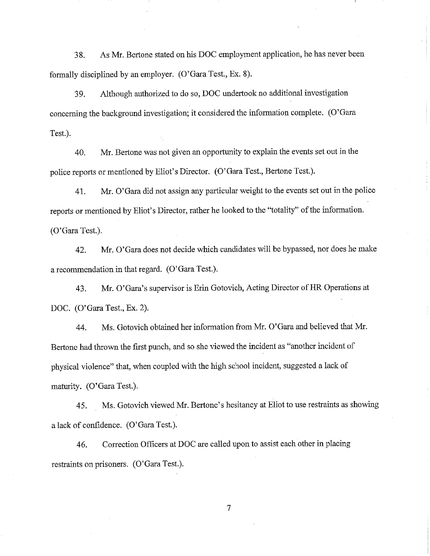38. As Mr. Bertone stated on his DOC employment application, he has never been formally disciplined by an employer. (O'Gara Test., Ex. 8).

39. Although authorized to do so, DOC undertook no additional investigation concerning the background investigation; it considered the information complete. (O'Gara Test.).

40. Mr. Bertone was not given an opportunity to explain the events set out in the police reports or mentioned by Eliot's Director. (O'Gara Test., Bertone Test.).

41. Mr. O'Gara did not assign any particular weight to the events set out in the police reports or mentioned by Eliot's Director, rather he looked to the "totality" of the information. (O'Gara Test.).

42. Mr. O'Gara does not decide which candidates will be bypassed, nor does he make a recommendation in that regard. (O'Gara Test.).

43. Mr. O'Gara's supervisor is Erin Gotovich, Acting Director of HR Operations at DOC. (O'Gara Test., Ex. 2).

44. Ms. Gotovich obtained her information from Mr. O'Gara and believed that Mr. Bertone had thrown the first punch, and so she viewed the incident as "another incident of physical violence" that, when coupled with the high school incident, suggested a lack of maturity. (O'Gara Test.).

45. Ms. Gotovich viewed Mr. Bertone's hesitancy at Eliot to use restraints as showing a lack of confidence. (O'Gara Test.).

46. Correction Officers at DOC are called upon to assist each other in placing restraints on prisoners. (O'Gara Test.).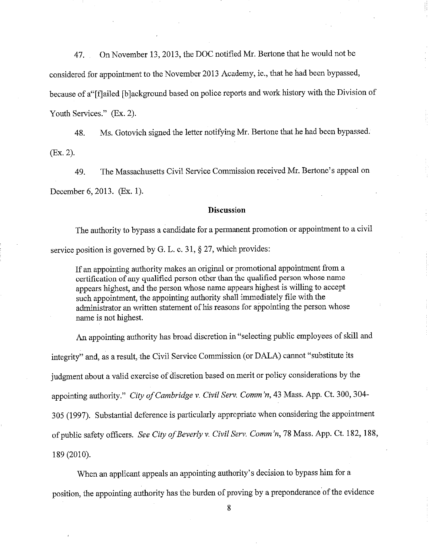47. On November 13, 2013, the DOC notified Mr. Bertone that he would not be considered for appointment to the November 2013 Academy, ie., that he had been bypassed, because of a"[flailed [b]ackground based on police reports and work history with the Division of Youth Services." (Ex. 2).

48. Ms. Gotovich signed the letter notifying Mr. Bertone that he had been bypassed. (Ex. 2).

49. The Massachusetts Civil Service Commission received Mr. Bertone's appeal on December 6, 2013. (Ex. 1).

## **Discussion**

The authority to bypass a candidate for a permanent promotion or appointment to a civil service position is governed by G. L. c. 31, § 27, which provides:

If an appointing authority makes an original or promotional appointment from a certification of any qualified person other than the qualified person whose name appears highest, and the person whose name appears highest is willing to accept such appointment, the appointing authority shall immediately file with the administrator an written statement of his reasons for appointing the person whose name is not highest.

An appointing authority has broad discretion in "selecting public employees of skill and integrity" and, as a result, the Civil Service Commission (or DALA) cannot "substitute its judgment about a valid exercise of discretion based on merit or policy considerations by the appointing authority." *City of Cambridge v. Civil Serv. Comm 'n,* 43 Mass. App. Ct. 300, 304- 305 (1997). Substantial deference is particularly appropriate when considering the appointment of public safety officers. *See City of Beverly v. Civil Serv. Comm 'n,* 78 Mass. App. Ct. 182, 188, 189 (2010).

When an applicant appeals an appointing authority's decision to bypass him for a position, the appointing authority has the burden of proving by a preponderance of the evidence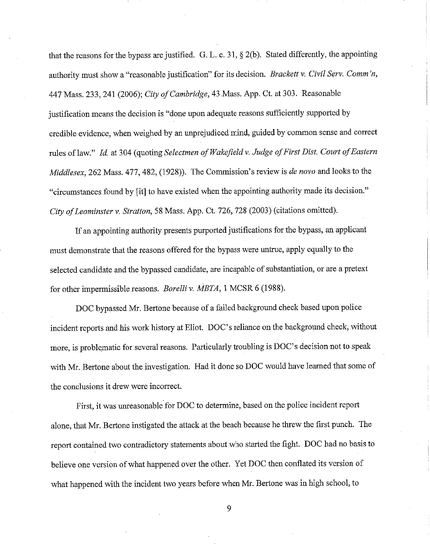that the reasons for the bypass are justified. G. L. c. 31,  $\S$  2(b). Stated differently, the appointing authority must show a "reasonable justification" for its decision. *Brackett v. Civil Serv. Comm 'n,*  447 Mass. 233,241 (2006); *City of Cambridge,* 43 .Mass. App. Ct. at 303. Reasonable justification means the decision is "done upon adequate reasons sufficiently supported by credible evidence, when weighed by an unprejudiced mind, guided by cornrnon sense and correct rules of law." *Id.* at 304 ( quoting *Selectmen of Wakefield v. Judge of First Dist. Court of Eastern Middlesex,* 262 Mass. 477,482, (1928)). The Commission's review is *de nova* and looks to the "circumstances found by [it] to have existed when the appointing authority made its decision." *City of Leominster v. Stratton,* 58 Mass. App. Ct. 726, 728 (2003) ( citations omitted).

If an appointing authority presents purported justifications for the bypass, an applicant must demonstrate that the reasons offered for the bypass were untrue, apply equally to the selected candidate and the bypassed candidate, are incapable of substantiation, or are a pretext for other impermissible reasons. *Borelli v. MBTA,* l MCSR 6 (1988).

DOC bypassed Mr. Bertone because of a failed background check based upon police incident reports and his work history at Eliot. DOC's reliance on the background check, without more, is problematic for several reasons. Particularly troubling is DOC's decision not to speak with Mr. Bertone about the investigation. Had it done so DOC would have learned that some of the conclusions it drew were incorrect.

First, it was unreasonable for DOC to determine, based on the police incident report alone, that Mr. Bertone instigated the attack at the beach because he threw the first punch. The report contained two contradictory statements about who started the fight. DOC had no basis to believe one version of what happened over the other. Yet DOC then conflated its version of what happened with the incident two years before when Mr. Bertone was in high school, to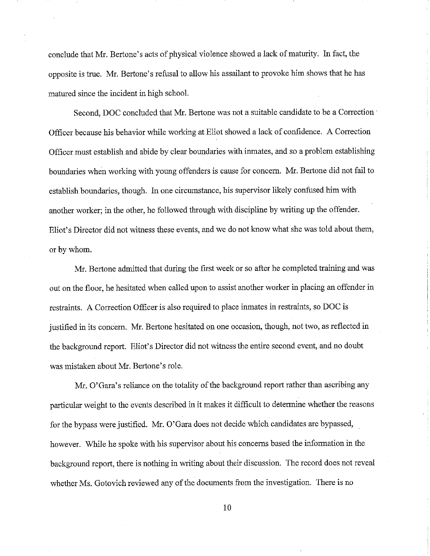conclude that Mr. Bertone's acts of physical violence showed a lack of maturity. In fact, the opposite is true. Mr. Bertone' s refusal to allow his assailant to provoke him shows that he has matured since the incident in high school.

Second, DOC concluded that Mr. Bertone was not a suitable candidate to be a Correction· Officer because his behavior while working at Eliot showed a lack of confidence. A Correction Officer must establish and abide by clear boundaries with inmates, and so a problem establishing boundaries when working with young offenders is cause for concern. Mr. Bertone did not fail to establish boundaries, though. In one circumstance, his supervisor likely confused him with another worker; in the other, he followed through with discipline by writing up the offender. Eliot's Director did not witness these events, and we do not know what she was told about them, or by whom.

Mr. Bertone admitted that during the first week or so after he completed training and was out on the floor, he hesitated when called upon to assist another worker in placing an offender in restraints. A Correction Officer is also required to place inmates in restraints, so DOC is justified in its concern. Mr. Bertone hesitated on one occasion, though, not two, as reflected in the background report. Eliot's Director did not witness the entire second event, and no doubt was mistaken about Mr. Bertone's role.

Mr. O'Gara's reliance on the totality of the background report rather than ascribing any particular weight to the events described in it makes it difficult to determine whether the reasons for the bypass were justified. Mr. O'Gara does not decide which candidates are bypassed, however. While he spoke with his supervisor about his concerns based the information in the background report, there is nothing in writing about their discussion. The record does not reveal whether Ms. Gotovich reviewed any of the documents from the investigation. There is no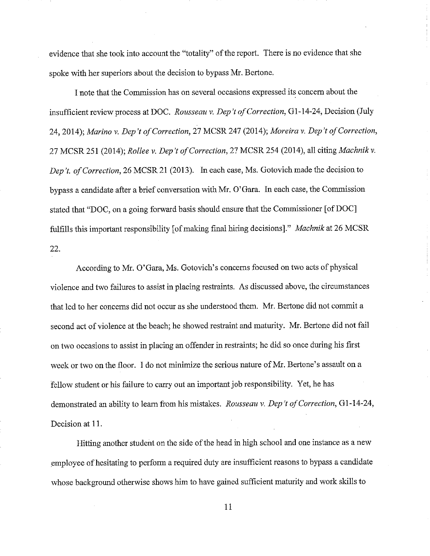evidence that she took into account the "totality" of the report. There is no evidence that she spoke with her superiors about the decision to bypass Mr. Bertone.

I note that the Commission has on several occasions expressed its concern about the insufficient review process at DOC. Rousseau v. Dep't of Correction, G1-14-24, Decision (July 24, 2014); *Marino v. Dep 't of Correction,* 27 MCSR 247 (2014); *Moreira v. Dep 't of Correction,*  27 MCSR 251 (2014); *Rollee v. Dep 't of Correction,* 27 MCSR 254 (2014), all citing *Machnikv. Dep't. of Correction, 26 MCSR 21 (2013).* In each case, Ms. Gotovich made the decision to bypass a candidate after a brief conversation with Mr. O'Gara. In each case, the Commission stated that "DOC, on a going forward basis should ensure that the Commissioner [of DOC] fulfills this important responsibility [ of making final hiring decisions]." *Machnik* at 26 MCSR 22.

According to Mr. O'Gara, Ms. Gotovich's concerns focused on two acts of physical violence and two failures to assist in placing restraints. As discussed above, the circumstances that led to her concerns did not occur as she understood them. Mr. Bertone did not commit a second act of violence at the beach; he showed restraint and maturity. Mr. Bertone did not fail on two occasions to assist in placing an offender in restraints; he did so once during his first week or two on the floor. I do not minimize the serious nature of Mr. Bertone's assault on a fellow student or his failure to carry out an important job responsibility. Yet, he has demonstrated an ability to learn from his mistakes. *Rousseau v. Dep't of Correction*, G1-14-24, Decision at 11.

Hitting another student on the side of the head in high school and one instance as a new employee of hesitating to perform a required duty are insufficient reasons to bypass a candidate whose background otherwise shows him to have gained sufficient maturity and work skills to